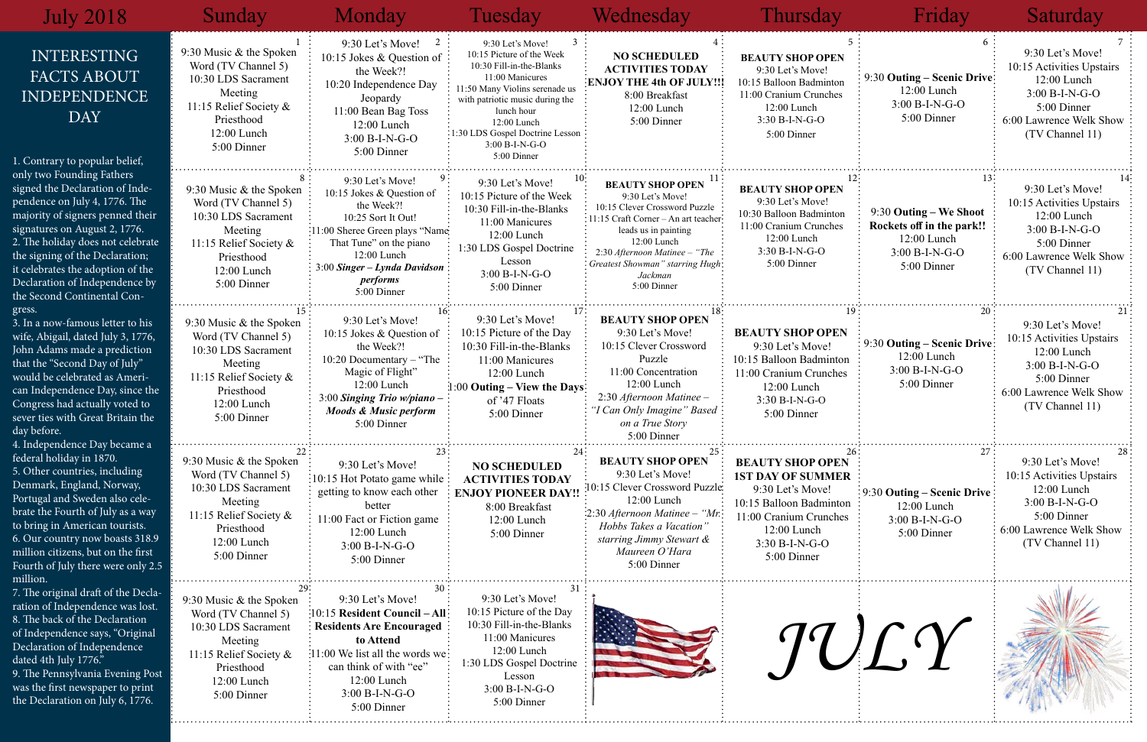| 5<br><b>TY SHOP OPEN</b><br>0 Let's Move!<br>alloon Badminton<br>Cranium Crunches<br>2:00 Lunch<br>60 B-I-N-G-O<br>5:00 Dinner                         | 6<br>9:30 Outing – Scenic Drive<br>12:00 Lunch<br>3:00 B-I-N-G-O<br>5:00 Dinner                              | 7<br>9:30 Let's Move!<br>10:15 Activities Upstairs<br>12:00 Lunch<br>3:00 B-I-N-G-O<br>5:00 Dinner<br>6:00 Lawrence Welk Show<br>(TV Channel 11)     |  |  |
|--------------------------------------------------------------------------------------------------------------------------------------------------------|--------------------------------------------------------------------------------------------------------------|------------------------------------------------------------------------------------------------------------------------------------------------------|--|--|
| 12 <sup>3</sup><br>TY SHOP OPEN<br>0 Let's Move!<br><b>Balloon Badminton</b><br>Cranium Crunches<br>2:00 Lunch<br>30 B-I-N-G-O<br>5:00 Dinner          | 13:<br>9:30 Outing – We Shoot<br>Rockets off in the park!!<br>12:00 Lunch<br>$3:00 B-I-N-G-O$<br>5:00 Dinner | $14-$<br>9:30 Let's Move!<br>10:15 Activities Upstairs<br>12:00 Lunch<br>3:00 B-I-N-G-O<br>5:00 Dinner<br>6:00 Lawrence Welk Show<br>(TV Channel 11) |  |  |
| 19 <sup>3</sup><br><b>TY SHOP OPEN</b><br>0 Let's Move!<br>alloon Badminton<br>ranium Crunches<br>2:00 Lunch<br>$0B-I-N-G-O$<br>:00 Dinner             | 20<br>9:30 Outing – Scenic Drive<br>12:00 Lunch<br>$3:00 B-I-N-G-O$<br>5:00 Dinner                           | 21<br>9:30 Let's Move!<br>10:15 Activities Upstairs<br>12:00 Lunch<br>$3:00 B-I-N-G-O$<br>5:00 Dinner<br>6:00 Lawrence Welk Show<br>(TV Channel 11)  |  |  |
| 26<br><b>TY SHOP OPEN</b><br><b>NY OF SUMMER</b><br>0 Let's Move!<br>alloon Badminton<br>Cranium Crunches<br>2:00 Lunch<br>$0B-I-N-G-O$<br>6:00 Dinner | 27<br>9:30 Outing - Scenic Drive<br>12:00 Lunch<br>3:00 B-I-N-G-O<br>5:00 Dinner                             | 28<br>9:30 Let's Move!<br>10:15 Activities Upstairs<br>12:00 Lunch<br>3:00 B-I-N-G-O<br>5:00 Dinner<br>6:00 Lawrence Welk Show<br>(TV Channel 11)    |  |  |
| TUC?                                                                                                                                                   |                                                                                                              |                                                                                                                                                      |  |  |

| <b>July 2018</b>                                                                                                                                                                                                                                                                                                                                 | Sunday                                                                                                                                                   | Monday                                                                                                                                                                                                                             | Tuesday                                                                                                                                                                                                                                                            | Wednesday                                                                                                                                                                                                                                                      | Thursday                                                                                                                                                                       | Friday                                                                                                     | Saturday                                                                                                                                        |
|--------------------------------------------------------------------------------------------------------------------------------------------------------------------------------------------------------------------------------------------------------------------------------------------------------------------------------------------------|----------------------------------------------------------------------------------------------------------------------------------------------------------|------------------------------------------------------------------------------------------------------------------------------------------------------------------------------------------------------------------------------------|--------------------------------------------------------------------------------------------------------------------------------------------------------------------------------------------------------------------------------------------------------------------|----------------------------------------------------------------------------------------------------------------------------------------------------------------------------------------------------------------------------------------------------------------|--------------------------------------------------------------------------------------------------------------------------------------------------------------------------------|------------------------------------------------------------------------------------------------------------|-------------------------------------------------------------------------------------------------------------------------------------------------|
| <b>INTERESTING</b><br>FACTS ABOUT<br><b>INDEPENDENCE</b><br><b>DAY</b><br>1. Contrary to popular belief,                                                                                                                                                                                                                                         | 9:30 Music & the Spoken<br>Word (TV Channel 5)<br>10:30 LDS Sacrament<br>Meeting<br>11:15 Relief Society &<br>Priesthood<br>12:00 Lunch<br>5:00 Dinner   | 2<br>9:30 Let's Move!<br>10:15 Jokes & Question of<br>the Week?!<br>10:20 Independence Day<br>Jeopardy<br>11:00 Bean Bag Toss<br>12:00 Lunch<br>$3:00 B-I-N-G-O$<br>5:00 Dinner                                                    | 9:30 Let's Move!<br>10:15 Picture of the Week<br>10:30 Fill-in-the-Blanks<br>11:00 Manicures<br>11:50 Many Violins serenade us<br>with patriotic music during the<br>lunch hour<br>12:00 Lunch<br>1:30 LDS Gospel Doctrine Lesson<br>3:00 B-I-N-G-O<br>5:00 Dinner | <b>NO SCHEDULED</b><br><b>ACTIVITIES TODAY</b><br><b>ENJOY THE 4th OF JULY!!!</b><br>8:00 Breakfast<br>12:00 Lunch<br>5:00 Dinner                                                                                                                              | <b>BEAUTY SHOP OPEN</b><br>9:30 Let's Move!<br>10:15 Balloon Badminton<br>11:00 Cranium Crunches<br>12:00 Lunch<br>3:30 B-I-N-G-O<br>5:00 Dinner                               | 9:30 Outing – Scenic Drive:<br>$12:00$ Lunch<br>3:00 B-I-N-G-O<br>5:00 Dinner                              | 9:30 Let's Move!<br>10:15 Activities Upstairs<br>12:00 Lunch<br>$3:00 B-I-N-G-O$<br>5:00 Dinner<br>6:00 Lawrence Welk Show<br>(TV Channel 11)   |
| only two Founding Fathers<br>signed the Declaration of Inde-<br>pendence on July 4, 1776. The<br>majority of signers penned their<br>signatures on August 2, 1776.<br>2. The holiday does not celebrate<br>the signing of the Declaration;<br>it celebrates the adoption of the<br>Declaration of Independence by<br>the Second Continental Con- | 9:30 Music & the Spoken<br>Word (TV Channel 5)<br>10:30 LDS Sacrament<br>Meeting<br>11:15 Relief Society &<br>Priesthood<br>12:00 Lunch<br>5:00 Dinner   | 9:30 Let's Move!<br>10:15 Jokes & Question of<br>the Week?!<br>10:25 Sort It Out!<br>:11:00 Sheree Green plays "Name<br>That Tune" on the piano<br>12:00 Lunch<br>$3:00$ Singer – Lynda Davidson<br><i>performs</i><br>5:00 Dinner | 9:30 Let's Move!<br>10:15 Picture of the Week<br>10:30 Fill-in-the-Blanks<br>11:00 Manicures<br>$12:00$ Lunch<br>1:30 LDS Gospel Doctrine<br>Lesson<br>$3:00 B-I-N-G-O$<br>5:00 Dinner                                                                             | <b>BEAUTY SHOP OPEN</b><br>9:30 Let's Move!<br>10:15 Clever Crossword Puzzle<br>: 11:15 Craft Corner - An art teacher:<br>leads us in painting<br>12:00 Lunch<br>2:30 Afternoon Matinee - "The<br>: Greatest Showman" starring Hugh-<br>Jackman<br>5:00 Dinner | <b>BEAUTY SHOP OPEN</b><br>9:30 Let's Move!<br>10:30 Balloon Badminton<br>11:00 Cranium Crunches<br>12:00 Lunch<br>$3:30 B-I-N-G-O$<br>5:00 Dinner                             | 9:30 Outing – We Shoot<br>Rockets off in the park!!<br>12:00 Lunch<br>$3:00 B-I-N-G-O$<br>5:00 Dinner      | 9:30 Let's Move!<br>10:15 Activities Upstairs<br>12:00 Lunch<br>$3:00 B-I-N-G-O$<br>5:00 Dinner<br>6:00 Lawrence Welk Show<br>(TV Channel 11)   |
| gress.<br>3. In a now-famous letter to his<br>wife, Abigail, dated July 3, 1776,<br>John Adams made a prediction<br>that the "Second Day of July"<br>would be celebrated as Ameri-<br>can Independence Day, since the<br>Congress had actually voted to<br>sever ties with Great Britain the<br>day before.<br>4. Independence Day became a      | 9:30 Music $&$ the Spoken<br>Word (TV Channel 5)<br>10:30 LDS Sacrament<br>Meeting<br>11:15 Relief Society &<br>Priesthood<br>12:00 Lunch<br>5:00 Dinner | 9:30 Let's Move!<br>10:15 Jokes & Question of<br>the Week?!<br>$10:20$ Documentary – "The<br>Magic of Flight"<br>$12:00$ Lunch<br>$3:00$ Singing Trio w/piano –<br><b>Moods &amp; Music perform</b><br>5:00 Dinner                 | 9:30 Let's Move!<br>10:15 Picture of the Day<br>10:30 Fill-in-the-Blanks<br>11:00 Manicures<br>12:00 Lunch<br>$1:00$ Outing – View the Days<br>of '47 Floats<br>5:00 Dinner                                                                                        | <b>BEAUTY SHOP OPEN</b><br>9:30 Let's Move!<br>10:15 Clever Crossword<br>Puzzle<br>11:00 Concentration<br>12:00 Lunch<br>2:30 Afternoon Matinee -<br>"I Can Only Imagine" Based:<br>on a True Story<br>5:00 Dinner                                             | <b>BEAUTY SHOP OPEN</b><br>9:30 Let's Move!<br>10:15 Balloon Badminton<br>11:00 Cranium Crunches<br>12:00 Lunch<br>3:30 B-I-N-G-O<br>5:00 Dinner                               | 9:30 Outing – Scenic Drive:<br>12:00 Lunch<br>$3:00 B-I-N-G-O$<br>5:00 Dinner                              | 9:30 Let's Move!<br>10:15 Activities Upstairs<br>$12:00$ Lunch<br>$3:00 B-I-N-G-O$<br>5:00 Dinner<br>6:00 Lawrence Welk Show<br>(TV Channel 11) |
| federal holiday in 1870.<br>5. Other countries, including<br>Denmark, England, Norway,<br>Portugal and Sweden also cele-<br>brate the Fourth of July as a way<br>to bring in American tourists.<br>6. Our country now boasts 318.9<br>million citizens, but on the first<br>Fourth of July there were only 2.5<br>million.                       | 9:30 Music $&$ the Spoken<br>Word (TV Channel 5)<br>10:30 LDS Sacrament<br>Meeting<br>11:15 Relief Society &<br>Priesthood<br>12:00 Lunch<br>5:00 Dinner | 9:30 Let's Move!<br>$\frac{1}{2}$ 10:15 Hot Potato game while $\frac{1}{2}$<br>getting to know each other<br>better<br>11:00 Fact or Fiction game<br>12:00 Lunch<br>3:00 B-I-N-G-O<br>5:00 Dinner                                  | <b>NO SCHEDULED</b><br><b>ACTIVITIES TODAY</b><br><b>ENJOY PIONEER DAY!!</b><br>8:00 Breakfast<br>12:00 Lunch<br>5:00 Dinner                                                                                                                                       | <b>BEAUTY SHOP OPEN</b><br>9:30 Let's Move!<br>0:15 Clever Crossword Puzzle<br>12:00 Lunch<br>$\frac{1}{2}$ :30 Afternoon Matinee - "Mr.<br>Hobbs Takes a Vacation"<br>starring Jimmy Stewart &<br>Maureen O'Hara<br>5:00 Dinner                               | <b>BEAUTY SHOP OPEN</b><br><b>1ST DAY OF SUMMER</b><br>9:30 Let's Move!<br>10:15 Balloon Badminton<br>11:00 Cranium Crunches<br>12:00 Lunch<br>$3:30 B-I-N-G-O$<br>5:00 Dinner | $\frac{1}{2}$ 9:30 Outing – Scenic Drive $\frac{1}{2}$<br>$12:00$ Lunch<br>$3:00 B-I-N-G-O$<br>5:00 Dinner | 9:30 Let's Move!<br>10:15 Activities Upstairs<br>12:00 Lunch<br>3:00 B-I-N-G-O<br>5:00 Dinner<br>6:00 Lawrence Welk Show<br>(TV Channel 11)     |
| 7. The original draft of the Decla-<br>ration of Independence was lost.<br>8. The back of the Declaration<br>of Independence says, "Original<br>Declaration of Independence<br>dated 4th July 1776."<br>9. The Pennsylvania Evening Post<br>was the first newspaper to print<br>the Declaration on July 6, 1776.                                 | 9:30 Music & the Spoken<br>Word (TV Channel 5)<br>10:30 LDS Sacrament<br>Meeting<br>11:15 Relief Society &<br>Priesthood<br>12:00 Lunch<br>5:00 Dinner   | 9:30 Let's Move!<br>:10:15 Resident Council - All:<br><b>Residents Are Encouraged</b><br>to Attend<br>11:00 We list all the words we:<br>can think of with "ee"<br>12:00 Lunch<br>$3:00 B-I-N-G-O$<br>5:00 Dinner                  | 9:30 Let's Move!<br>10:15 Picture of the Day<br>10:30 Fill-in-the-Blanks<br>11:00 Manicures<br>12:00 Lunch<br>1:30 LDS Gospel Doctrine<br>Lesson<br>3:00 B-I-N-G-O<br>5:00 Dinner                                                                                  |                                                                                                                                                                                                                                                                |                                                                                                                                                                                | TULY                                                                                                       |                                                                                                                                                 |

 $1. C$ 

## Friday Saturday Tuesday